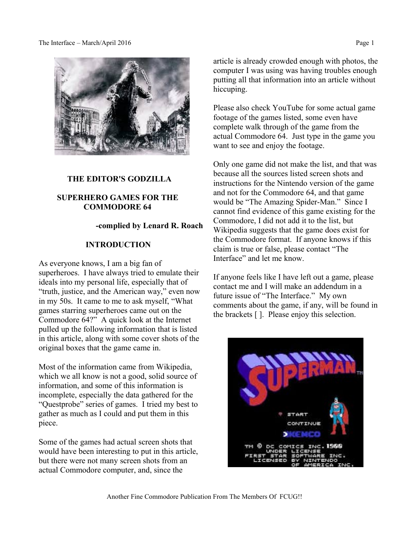The Interface – March/April 2016 Page 1



## **THE EDITOR'S GODZILLA**

## **SUPERHERO GAMES FOR THE COMMODORE 64**

## **-complied by Lenard R. Roach**

### **INTRODUCTION**

As everyone knows, I am a big fan of superheroes. I have always tried to emulate their ideals into my personal life, especially that of "truth, justice, and the American way," even now in my 50s. It came to me to ask myself, "What games starring superheroes came out on the Commodore 64?" A quick look at the Internet pulled up the following information that is listed in this article, along with some cover shots of the original boxes that the game came in.

Most of the information came from Wikipedia, which we all know is not a good, solid source of information, and some of this information is incomplete, especially the data gathered for the "Questprobe" series of games. I tried my best to gather as much as I could and put them in this piece.

Some of the games had actual screen shots that would have been interesting to put in this article, but there were not many screen shots from an actual Commodore computer, and, since the

article is already crowded enough with photos, the computer I was using was having troubles enough putting all that information into an article without hiccuping.

Please also check YouTube for some actual game footage of the games listed, some even have complete walk through of the game from the actual Commodore 64. Just type in the game you want to see and enjoy the footage.

Only one game did not make the list, and that was because all the sources listed screen shots and instructions for the Nintendo version of the game and not for the Commodore 64, and that game would be "The Amazing Spider-Man." Since I cannot find evidence of this game existing for the Commodore, I did not add it to the list, but Wikipedia suggests that the game does exist for the Commodore format. If anyone knows if this claim is true or false, please contact "The Interface" and let me know.

If anyone feels like I have left out a game, please contact me and I will make an addendum in a future issue of "The Interface." My own comments about the game, if any, will be found in the brackets [ ]. Please enjoy this selection.

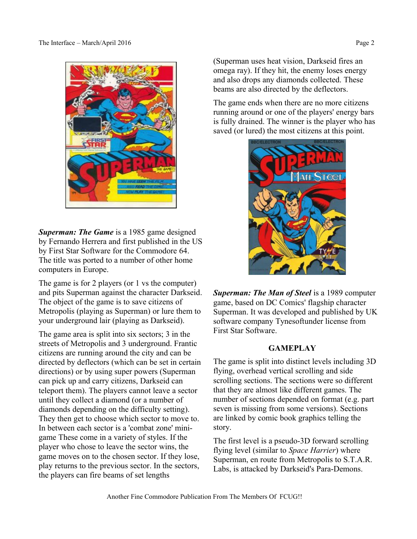

*Superman: The Game* is a 1985 [game](https://en.wikipedia.org/wiki/Video_game) [designed](https://en.wikipedia.org/wiki/Game_designer) by Fernando Herrera and first published in the US by [First Star Software](https://en.wikipedia.org/wiki/First_Star_Software) for the [Commodore 64.](https://en.wikipedia.org/wiki/Commodore_64) The title was ported to a number of other [home](https://en.wikipedia.org/wiki/Home_computers)  [computers](https://en.wikipedia.org/wiki/Home_computers) in Europe.

The game is for 2 players (or 1 vs the computer) and pits [Superman](https://en.wikipedia.org/wiki/Superman) against the character [Darkseid.](https://en.wikipedia.org/wiki/Darkseid) The object of the game is to save citizens of [Metropolis](https://en.wikipedia.org/wiki/Metropolis_(comics)) (playing as Superman) or lure them to your underground lair (playing as Darkseid).

The game area is split into six sectors; 3 in the streets of Metropolis and 3 underground. Frantic citizens are running around the city and can be directed by deflectors (which can be set in certain directions) or by using super powers (Superman can pick up and carry citizens, Darkseid can teleport them). The players cannot leave a sector until they collect a diamond (or a number of diamonds depending on the difficulty setting). They then get to choose which sector to move to. In between each sector is a 'combat zone' minigame These come in a variety of styles. If the player who chose to leave the sector wins, the game moves on to the chosen sector. If they lose, play returns to the previous sector. In the sectors, the players can fire beams of set lengths

(Superman uses heat vision, Darkseid fires an omega ray). If they hit, the enemy loses energy and also drops any diamonds collected. These beams are also directed by the deflectors.

The game ends when there are no more citizens running around or one of the players' energy bars is fully drained. The winner is the player who has saved (or lured) the most citizens at this point.



*Superman: The Man of Steel* is a 1989 [computer](https://en.wikipedia.org/wiki/Personal_computer_game)  [game,](https://en.wikipedia.org/wiki/Personal_computer_game) based on [DC Comics'](https://en.wikipedia.org/wiki/DC_Comics) flagship character [Superman.](https://en.wikipedia.org/wiki/Superman) It was developed and published by UK software company [Tynesoftu](https://en.wikipedia.org/wiki/Tynesoft)nder license from [First Star Software.](https://en.wikipedia.org/wiki/First_Star_Software)

# **GAMEPLAY**

The game is split into distinct levels including 3D flying, overhead vertical scrolling and side scrolling sections. The sections were so different that they are almost like different games. The number of sections depended on format (e.g. part seven is missing from some versions). Sections are linked by comic book graphics telling the story.

The first level is a pseudo-3D forward scrolling flying level (similar to *[Space Harrier](https://en.wikipedia.org/wiki/Space_Harrier)*) where Superman, en route from [Metropolis](https://en.wikipedia.org/wiki/Metropolis_(comics)) to [S.T.A.R.](https://en.wikipedia.org/wiki/S.T.A.R._Labs)  [Labs,](https://en.wikipedia.org/wiki/S.T.A.R._Labs) is attacked by [Darkseid'](https://en.wikipedia.org/wiki/Darkseid)s Para-Demons.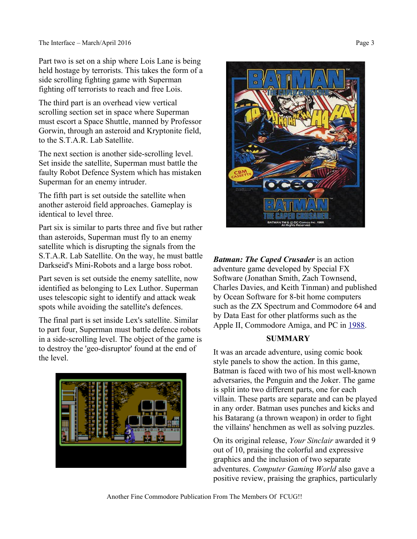Part two is set on a ship where [Lois Lane](https://en.wikipedia.org/wiki/Lois_Lane) is being held hostage by terrorists. This takes the form of a side scrolling fighting game with Superman fighting off terrorists to reach and free Lois.

The third part is an overhead view vertical scrolling section set in space where Superman must escort a [Space Shuttle,](https://en.wikipedia.org/wiki/Space_Shuttle) manned by Professor Gorwin, through an [asteroid](https://en.wikipedia.org/wiki/Asteroid_belt) and [Kryptonite](https://en.wikipedia.org/wiki/Kryptonite) field, to the S.T.A.R. Lab [Satellite.](https://en.wikipedia.org/wiki/Satellite)

The next section is another side-scrolling level. Set inside the satellite, Superman must battle the faulty Robot Defence System which has mistaken Superman for an enemy intruder.

The fifth part is set outside the satellite when another asteroid field approaches. Gameplay is identical to level three.

Part six is similar to parts three and five but rather than asteroids, Superman must fly to an enemy satellite which is disrupting the signals from the S.T.A.R. Lab Satellite. On the way, he must battle [Darkseid'](https://en.wikipedia.org/wiki/Darkseid)s Mini-Robots and a large [boss](https://en.wikipedia.org/wiki/Boss_(video_gaming)) robot.

Part seven is set outside the enemy satellite, now identified as belonging to [Lex Luthor.](https://en.wikipedia.org/wiki/Lex_Luthor) Superman uses telescopic sight to identify and attack weak spots while avoiding the satellite's defences.

The final part is set inside Lex's satellite. Similar to part four, Superman must battle defence robots in a side-scrolling level. The object of the game is to destroy the 'geo-disruptor' found at the end of the level.





*Batman: The Caped Crusader* is an [action](https://en.wikipedia.org/wiki/Action-adventure_game)  [adventure](https://en.wikipedia.org/wiki/Action-adventure_game) game developed by Special FX Software (Jonathan Smith, Zach Townsend, Charles Davies, and Keith Tinman) and published by [Ocean Software](https://en.wikipedia.org/wiki/Ocean_Software) for 8-bit [home computers](https://en.wikipedia.org/wiki/Home_computer) such as the [ZX Spectrum](https://en.wikipedia.org/wiki/ZX_Spectrum) and [Commodore 64](https://en.wikipedia.org/wiki/Commodore_64) and by [Data East](https://en.wikipedia.org/wiki/Data_East) for other platforms such as the [Apple II,](https://en.wikipedia.org/wiki/Apple_II) [Commodore Amiga,](https://en.wikipedia.org/wiki/Amiga) and [PC](https://en.wikipedia.org/wiki/Personal_computer) in [1988.](https://en.wikipedia.org/wiki/1988_in_video_gaming)

# **SUMMARY**

It was an [arcade adventure,](https://en.wikipedia.org/wiki/Action-adventure_game) using comic book style panels to show the action. In this game, Batman is faced with two of his most well-known adversaries, [the Penguin](https://en.wikipedia.org/wiki/Penguin_(comics)) and [the Joker.](https://en.wikipedia.org/wiki/Joker_(comics)) The game is split into two different parts, one for each villain. These parts are separate and can be played in any order. Batman uses punches and kicks and his [Batarang](https://en.wikipedia.org/wiki/Batarang) (a thrown weapon) in order to fight the villains' henchmen as well as solving puzzles.

On its original release, *[Your Sinclair](https://en.wikipedia.org/wiki/Your_Sinclair)* awarded it 9 out of 10, praising the colorful and expressive graphics and the inclusion of two separate adventures. *[Computer Gaming World](https://en.wikipedia.org/wiki/Computer_Gaming_World)* also gave a positive review, praising the graphics, particularly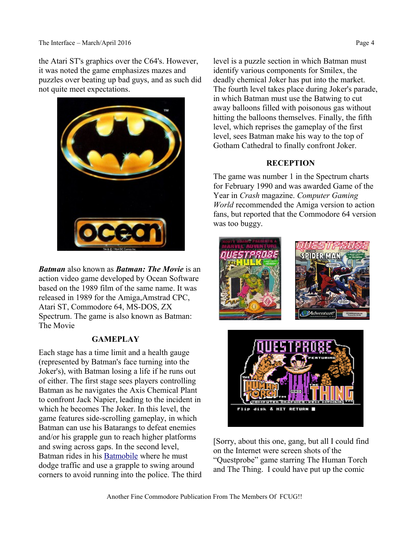the Atari ST's graphics over the C64's. However, it was noted the game emphasizes mazes and puzzles over beating up bad guys, and as such did not quite meet expectations.



*Batman* also known as *Batman: The Movie* is an action video game developed by [Ocean Software](https://en.wikipedia.org/wiki/Ocean_Software) based on the [1989 film of the same name.](https://en.wikipedia.org/wiki/Batman_(1989_film)) It was released in 1989 for the [Amiga](https://en.wikipedia.org/wiki/Amiga)[,Amstrad CPC,](https://en.wikipedia.org/wiki/Amstrad_CPC) [Atari ST,](https://en.wikipedia.org/wiki/Atari_ST) [Commodore 64,](https://en.wikipedia.org/wiki/Commodore_64) [MS-DOS,](https://en.wikipedia.org/wiki/MS-DOS) [ZX](https://en.wikipedia.org/wiki/ZX_Spectrum)  [Spectrum.](https://en.wikipedia.org/wiki/ZX_Spectrum) The game is also known as Batman: The Movie

## **GAMEPLAY**

Each stage has a time limit and a health gauge (represented by Batman's face turning into the Joker's), with Batman losing a life if he runs out of either. The first stage sees players controlling [Batman](https://en.wikipedia.org/wiki/Batman) as he navigates the Axis Chemical Plant to confront Jack Napier, leading to the incident in which he becomes [The Joker.](https://en.wikipedia.org/wiki/Joker_(comics)) In this level, the game features side-scrolling gameplay, in which Batman can use his Batarangs to defeat enemies and/or his grapple gun to reach higher platforms and swing across gaps. In the second level, Batman rides in his [Batmobile](https://en.wikipedia.org/wiki/Batmobile) where he must dodge traffic and use a grapple to swing around corners to avoid running into the police. The third level is a puzzle section in which Batman must identify various components for Smilex, the deadly chemical Joker has put into the market. The fourth level takes place during Joker's parade, in which Batman must use the [Batwing](https://en.wikipedia.org/wiki/Batplane) to cut away balloons filled with poisonous gas without hitting the balloons themselves. Finally, the fifth level, which reprises the gameplay of the first level, sees Batman make his way to the top of Gotham Cathedral to finally confront Joker.

# **RECEPTION**

The game was number 1 in the Spectrum charts for February 1990 and was awarded Game of the Year in *[Crash](https://en.wikipedia.org/wiki/Crash_(magazine))* magazine. *[Computer Gaming](https://en.wikipedia.org/wiki/Computer_Gaming_World)  [World](https://en.wikipedia.org/wiki/Computer_Gaming_World)* recommended the Amiga version to action fans, but reported that the Commodore 64 version was too buggy.





[Sorry, about this one, gang, but all I could find on the Internet were screen shots of the "Questprobe" game starring The Human Torch and The Thing. I could have put up the comic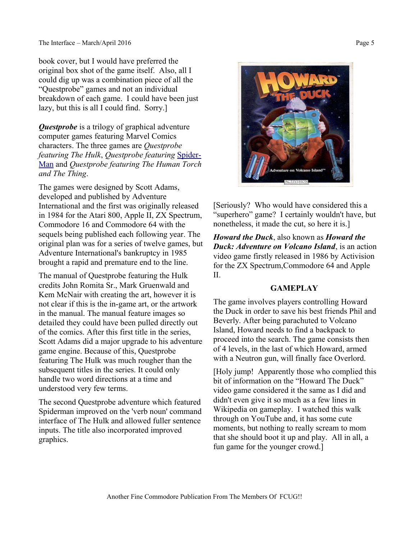book cover, but I would have preferred the original box shot of the game itself. Also, all I could dig up was a combination piece of all the "Questprobe" games and not an individual breakdown of each game. I could have been just lazy, but this is all I could find. Sorry.]

*Questprobe* is a trilogy of [graphical adventure](https://en.wikipedia.org/wiki/Graphical_adventure) [computer games](https://en.wikipedia.org/wiki/Computer_game) featuring [Marvel Comics](https://en.wikipedia.org/wiki/Marvel_Comics) [characters.](https://en.wikipedia.org/wiki/Fictional_character) The three games are *Questprobe featuring [The Hulk](https://en.wikipedia.org/wiki/Hulk_(comics))*, *Questprobe featuring* [Spider-](https://en.wikipedia.org/wiki/Spider-Man)[Man](https://en.wikipedia.org/wiki/Spider-Man) and *Questprobe featuring [The Human Torch](https://en.wikipedia.org/wiki/The_Human_Torch) and [The Thing](https://en.wikipedia.org/wiki/Thing_(comics))*.

The games were designed by [Scott Adams,](https://en.wikipedia.org/wiki/Scott_Adams_(game_designer)) developed and published by [Adventure](https://en.wikipedia.org/wiki/Adventure_International)  [International](https://en.wikipedia.org/wiki/Adventure_International) and the first was originally released in [1984](https://en.wikipedia.org/wiki/1984_in_video_gaming) for the [Atari 800,](https://en.wikipedia.org/wiki/Atari_800) [Apple II,](https://en.wikipedia.org/wiki/Apple_II) [ZX Spectrum,](https://en.wikipedia.org/wiki/ZX_Spectrum) [Commodore 16](https://en.wikipedia.org/wiki/Commodore_16) and [Commodore 64](https://en.wikipedia.org/wiki/Commodore_64) with the sequels being published each following year. The original plan was for a series of twelve games, but Adventure International's bankruptcy in 1985 brought a rapid and premature end to the line.

The manual of Questprobe featuring the Hulk credits John Romita Sr., Mark Gruenwald and Kem McNair with creating the art, however it is not clear if this is the in-game art, or the artwork in the manual. The manual feature images so detailed they could have been pulled directly out of the comics. After this first title in the series, Scott Adams did a major upgrade to his adventure game engine. Because of this, Questprobe featuring The Hulk was much rougher than the subsequent titles in the series. It could only handle two word directions at a time and understood very few terms.

The second Questprobe adventure which featured Spiderman improved on the 'verb noun' command interface of The Hulk and allowed fuller sentence inputs. The title also incorporated improved graphics.



*Howard the Duck*, also known as *Howard the Duck: Adventure on Volcano Island*, is an action [video game](https://en.wikipedia.org/wiki/Video_game) firstly released in [1986](https://en.wikipedia.org/wiki/1986_in_video_gaming) by [Activision](https://en.wikipedia.org/wiki/Activision) for the [ZX Spectrum](https://en.wikipedia.org/wiki/ZX_Spectrum)[,Commodore 64](https://en.wikipedia.org/wiki/Commodore_64) and [Apple](https://en.wikipedia.org/wiki/Apple_II)  [II.](https://en.wikipedia.org/wiki/Apple_II)

## **GAMEPLAY**

The game involves players controlling [Howard](https://en.wikipedia.org/wiki/Howard_the_Duck)  [the Duck](https://en.wikipedia.org/wiki/Howard_the_Duck) in order to save his best friends Phil and Beverly. After being parachuted to Volcano Island, Howard needs to find a backpack to proceed into the search. The game consists then of 4 levels, in the last of which Howard, armed with a Neutron gun, will finally face Overlord.

[Holy jump! Apparently those who complied this bit of information on the "Howard The Duck" video game considered it the same as I did and didn't even give it so much as a few lines in Wikipedia on gameplay. I watched this walk through on YouTube and, it has some cute moments, but nothing to really scream to mom that she should boot it up and play. All in all, a fun game for the younger crowd.]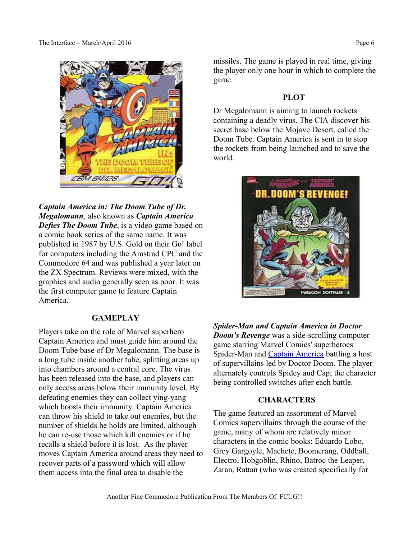

*Captain America in: The Doom Tube of Dr. Megalomann*, also known as *Captain America Defies The Doom Tube*, is a [video game](https://en.wikipedia.org/wiki/Video_game) based on a comic book series [of the same name.](https://en.wikipedia.org/wiki/Captain_America) It was published in [1987](https://en.wikipedia.org/wiki/1987_in_video_gaming) by [U.S. Gold](https://en.wikipedia.org/wiki/U.S._Gold) on their Go! label for computers including the [Amstrad CPC](https://en.wikipedia.org/wiki/Amstrad_CPC) and the [Commodore 64](https://en.wikipedia.org/wiki/Commodore_64) and was published a year later on the [ZX Spectrum.](https://en.wikipedia.org/wiki/ZX_Spectrum) Reviews were mixed, with the graphics and audio generally seen as poor. It was the first computer game to feature Captain America.

## **GAMEPLAY**

Players take on the role of Marvel superhero [Captain America](https://en.wikipedia.org/wiki/Captain_America) and must guide him around the Doom Tube base of Dr Megalomann. The base is a long tube inside another tube, splitting areas up into chambers around a central core. The virus has been released into the base, and players can only access areas below their immunity level. By defeating enemies they can collect ying-yang which boosts their immunity. Captain America can throw his shield to take out enemies, but the number of shields he holds are limited, although he can re-use those which kill enemies or if he recalls a shield before it is lost. As the player moves Captain America around areas they need to recover parts of a password which will allow them access into the final area to disable the

missiles. The game is played in real time, giving the player only one hour in which to complete the game.

## **PLOT**

Dr Megalomann is aiming to launch rockets containing a deadly virus. The [CIA](https://en.wikipedia.org/wiki/CIA) discover his secret base below the [Mojave Desert,](https://en.wikipedia.org/wiki/Mojave_Desert) called the Doom Tube. Captain America is sent in to stop the rockets from being launched and to save the world.



*Spider-Man and Captain America in Doctor Doom's Revenge* was a side-scrolling [computer](https://en.wikipedia.org/wiki/Computer_game)  [game](https://en.wikipedia.org/wiki/Computer_game) starring [Marvel Comics'](https://en.wikipedia.org/wiki/Marvel_Comics) [superheroes](https://en.wikipedia.org/wiki/Superhero) [Spider-Man](https://en.wikipedia.org/wiki/Spider-Man) and [Captain America](https://en.wikipedia.org/wiki/Captain_America) battling a host of [supervillains](https://en.wikipedia.org/wiki/Supervillain) led by [Doctor Doom.](https://en.wikipedia.org/wiki/Doctor_Doom) The player alternately controls Spidey and Cap; the character being controlled switches after each battle.

## **CHARACTERS**

The game featured an assortment of Marvel Comics supervillains through the course of the game, many of whom are relatively minor characters in the comic books: [Eduardo Lobo,](https://en.wikipedia.org/wiki/Lobo_Brothers) [Grey Gargoyle,](https://en.wikipedia.org/wiki/Grey_Gargoyle) [Machete,](https://en.wikipedia.org/wiki/Machete_(comics)) [Boomerang,](https://en.wikipedia.org/wiki/Boomerang_(comics)) [Oddball,](https://en.wikipedia.org/wiki/Oddball_(comics)) [Electro,](https://en.wikipedia.org/wiki/Electro_(comics)) [Hobgoblin,](https://en.wikipedia.org/wiki/Hobgoblin_(comics)) [Rhino,](https://en.wikipedia.org/wiki/Rhino_(comics)) [Batroc the Leaper,](https://en.wikipedia.org/wiki/Batroc_the_Leaper) [Zaran,](https://en.wikipedia.org/wiki/Zaran) Rattan (who was created specifically for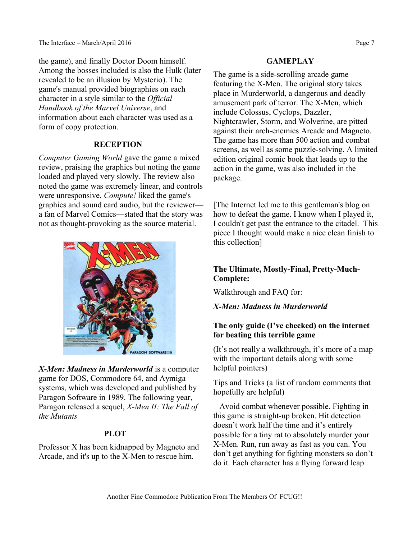the game), and finally [Doctor Doom](https://en.wikipedia.org/wiki/Doctor_Doom) himself. Among the bosses included is also the [Hulk](https://en.wikipedia.org/wiki/Hulk_(comics)) (later revealed to be an illusion by [Mysterio\)](https://en.wikipedia.org/wiki/Mysterio). The game's manual provided biographies on each character in a style similar to the *[Official](https://en.wikipedia.org/wiki/Official_Handbook_of_the_Marvel_Universe)  [Handbook of the Marvel Universe](https://en.wikipedia.org/wiki/Official_Handbook_of_the_Marvel_Universe)*, and information about each character was used as a form of [copy protection.](https://en.wikipedia.org/wiki/Copy_protection)

# **RECEPTION**

*[Computer Gaming World](https://en.wikipedia.org/wiki/Computer_Gaming_World)* gave the game a mixed review, praising the graphics but noting the game loaded and played very slowly. The review also noted the game was extremely linear, and controls were unresponsive. *[Compute!](https://en.wikipedia.org/wiki/Compute!)* liked the game's graphics and [sound card](https://en.wikipedia.org/wiki/Sound_card) audio, but the reviewer a fan of Marvel Comics—stated that the story was not as thought-provoking as the source material.



*X-Men: Madness in Murderworld* is a computer game for [DOS,](https://en.wikipedia.org/wiki/DOS) [Commodore 64,](https://en.wikipedia.org/wiki/Commodore_64) and [Aymiga](https://en.wikipedia.org/wiki/Amiga) systems, which was developed and published by [Paragon Software](https://en.wikipedia.org/wiki/Paragon_Software) in 1989. The following year, Paragon released a sequel, *[X-Men II: The Fall of](https://en.wikipedia.org/wiki/X-Men_II:_The_Fall_of_the_Mutants)  [the Mutants](https://en.wikipedia.org/wiki/X-Men_II:_The_Fall_of_the_Mutants)*

# **PLOT**

[Professor X](https://en.wikipedia.org/wiki/Professor_X) has been kidnapped by [Magneto](https://en.wikipedia.org/wiki/Magneto_(comics)) and [Arcade,](https://en.wikipedia.org/wiki/Arcade_(Marvel_Comics)) and it's up to the [X-Men](https://en.wikipedia.org/wiki/X-Men) to rescue him.

## **GAMEPLAY**

The game is a side-scrolling [arcade game](https://en.wikipedia.org/wiki/Arcade_game) featuring the [X-Men.](https://en.wikipedia.org/wiki/X-Men) The original story takes place in Murderworld, a dangerous and deadly [amusement park](https://en.wikipedia.org/wiki/Amusement_park) of terror. The X-Men, which include [Colossus,](https://en.wikipedia.org/wiki/Colossus_(comics)) [Cyclops,](https://en.wikipedia.org/wiki/Cyclops_(comics)) [Dazzler,](https://en.wikipedia.org/wiki/Dazzler) [Nightcrawler,](https://en.wikipedia.org/wiki/Nightcrawler_(comics)) [Storm,](https://en.wikipedia.org/wiki/Storm_(Marvel_Comics)) and [Wolverine,](https://en.wikipedia.org/wiki/Wolverine_(character)) are pitted against their arch-enemies [Arcade](https://en.wikipedia.org/wiki/Arcade_(Marvel_Comics)) and [Magneto.](https://en.wikipedia.org/wiki/Magneto_(comics)) The game has more than 500 action and combat screens, as well as some puzzle-solving. A limited edition original comic book that leads up to the action in the game, was also included in the package.

[The Internet led me to this gentleman's blog on how to defeat the game. I know when I played it, I couldn't get past the entrance to the citadel. This piece I thought would make a nice clean finish to this collection]

# **The Ultimate, Mostly-Final, Pretty-Much-Complete:**

Walkthrough and FAQ for:

# *X-Men: Madness in Murderworld*

# **The only guide (I've checked) on the internet for beating this terrible game**

(It's not really a walkthrough, it's more of a map with the important details along with some helpful pointers)

Tips and Tricks (a list of random comments that hopefully are helpful)

– Avoid combat whenever possible. Fighting in this game is straight-up broken. Hit detection doesn't work half the time and it's entirely possible for a tiny rat to absolutely murder your X-Men. Run, run away as fast as you can. You don't get anything for fighting monsters so don't do it. Each character has a flying forward leap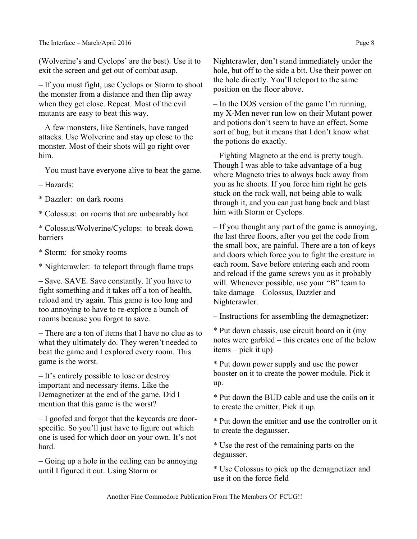(Wolverine's and Cyclops' are the best). Use it to exit the screen and get out of combat asap.

– If you must fight, use Cyclops or Storm to shoot the monster from a distance and then flip away when they get close. Repeat. Most of the evil mutants are easy to beat this way.

– A few monsters, like Sentinels, have ranged attacks. Use Wolverine and stay up close to the monster. Most of their shots will go right over him.

– You must have everyone alive to beat the game.

– Hazards:

\* Dazzler: on dark rooms

\* Colossus: on rooms that are unbearably hot

\* Colossus/Wolverine/Cyclops: to break down barriers

\* Storm: for smoky rooms

\* Nightcrawler: to teleport through flame traps

– Save. SAVE. Save constantly. If you have to fight something and it takes off a ton of health, reload and try again. This game is too long and too annoying to have to re-explore a bunch of rooms because you forgot to save.

– There are a ton of items that I have no clue as to what they ultimately do. They weren't needed to beat the game and I explored every room. This game is the worst.

– It's entirely possible to lose or destroy important and necessary items. Like the Demagnetizer at the end of the game. Did I mention that this game is the worst?

– I goofed and forgot that the keycards are doorspecific. So you'll just have to figure out which one is used for which door on your own. It's not hard.

– Going up a hole in the ceiling can be annoying until I figured it out. Using Storm or

Nightcrawler, don't stand immediately under the hole, but off to the side a bit. Use their power on the hole directly. You'll teleport to the same position on the floor above.

– In the DOS version of the game I'm running, my X-Men never run low on their Mutant power and potions don't seem to have an effect. Some sort of bug, but it means that I don't know what the potions do exactly.

– Fighting Magneto at the end is pretty tough. Though I was able to take advantage of a bug where Magneto tries to always back away from you as he shoots. If you force him right he gets stuck on the rock wall, not being able to walk through it, and you can just hang back and blast him with Storm or Cyclops.

– If you thought any part of the game is annoying, the last three floors, after you get the code from the small box, are painful. There are a ton of keys and doors which force you to fight the creature in each room. Save before entering each and room and reload if the game screws you as it probably will. Whenever possible, use your "B" team to take damage—Colossus, Dazzler and Nightcrawler.

– Instructions for assembling the demagnetizer:

\* Put down chassis, use circuit board on it (my notes were garbled – this creates one of the below items – pick it up)

\* Put down power supply and use the power booster on it to create the power module. Pick it up.

\* Put down the BUD cable and use the coils on it to create the emitter. Pick it up.

\* Put down the emitter and use the controller on it to create the degausser.

\* Use the rest of the remaining parts on the degausser.

\* Use Colossus to pick up the demagnetizer and use it on the force field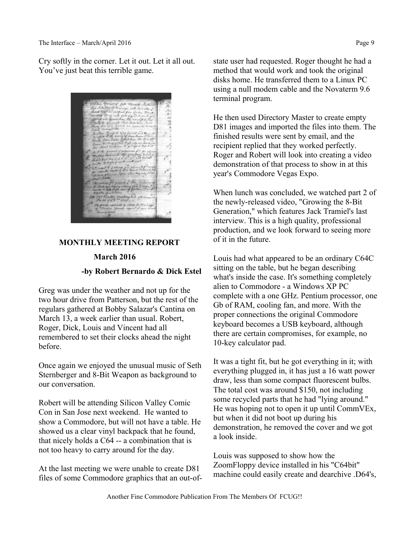Cry softly in the corner. Let it out. Let it all out. You've just beat this terrible game.



## **MONTHLY MEETING REPORT**

### **March 2016**

### **-by Robert Bernardo & Dick Estel**

Greg was under the weather and not up for the two hour drive from Patterson, but the rest of the regulars gathered at Bobby Salazar's Cantina on March 13, a week earlier than usual. Robert, Roger, Dick, Louis and Vincent had all remembered to set their clocks ahead the night before.

Once again we enjoyed the unusual music of Seth Sternberger and 8-Bit Weapon as background to our conversation.

Robert will be attending Silicon Valley Comic Con in San Jose next weekend. He wanted to show a Commodore, but will not have a table. He showed us a clear vinyl backpack that he found, that nicely holds a C64 -- a combination that is not too heavy to carry around for the day.

At the last meeting we were unable to create D81 files of some Commodore graphics that an out-ofstate user had requested. Roger thought he had a method that would work and took the original disks home. He transferred them to a Linux PC using a null modem cable and the Novaterm 9.6 terminal program.

He then used Directory Master to create empty D81 images and imported the files into them. The finished results were sent by email, and the recipient replied that they worked perfectly. Roger and Robert will look into creating a video demonstration of that process to show in at this year's Commodore Vegas Expo.

When lunch was concluded, we watched part 2 of the newly-released video, "Growing the 8-Bit Generation," which features Jack Tramiel's last interview. This is a high quality, professional production, and we look forward to seeing more of it in the future.

Louis had what appeared to be an ordinary C64C sitting on the table, but he began describing what's inside the case. It's something completely alien to Commodore - a Windows XP PC complete with a one GHz. Pentium processor, one Gb of RAM, cooling fan, and more. With the proper connections the original Commodore keyboard becomes a USB keyboard, although there are certain compromises, for example, no 10-key calculator pad.

It was a tight fit, but he got everything in it; with everything plugged in, it has just a 16 watt power draw, less than some compact fluorescent bulbs. The total cost was around \$150, not including some recycled parts that he had "lying around." He was hoping not to open it up until CommVEx, but when it did not boot up during his demonstration, he removed the cover and we got a look inside.

Louis was supposed to show how the ZoomFloppy device installed in his "C64bit" machine could easily create and dearchive .D64's,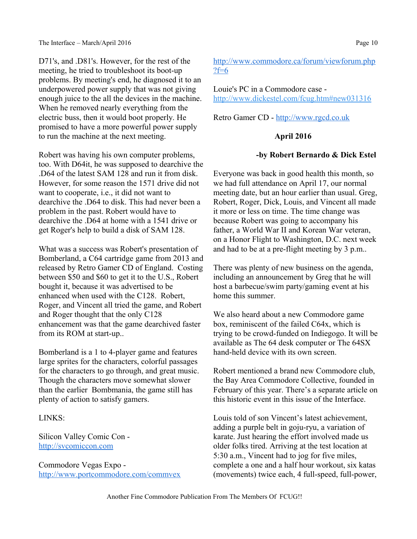D71's, and .D81's. However, for the rest of the meeting, he tried to troubleshoot its boot-up problems. By meeting's end, he diagnosed it to an underpowered power supply that was not giving enough juice to the all the devices in the machine. When he removed nearly everything from the electric buss, then it would boot properly. He promised to have a more powerful power supply to run the machine at the next meeting.

Robert was having his own computer problems, too. With D64it, he was supposed to dearchive the .D64 of the latest SAM 128 and run it from disk. However, for some reason the 1571 drive did not want to cooperate, i.e., it did not want to dearchive the .D64 to disk. This had never been a problem in the past. Robert would have to dearchive the .D64 at home with a 1541 drive or get Roger's help to build a disk of SAM 128.

What was a success was Robert's presentation of Bomberland, a C64 cartridge game from 2013 and released by Retro Gamer CD of England. Costing between \$50 and \$60 to get it to the U.S., Robert bought it, because it was advertised to be enhanced when used with the C128. Robert, Roger, and Vincent all tried the game, and Robert and Roger thought that the only C128 enhancement was that the game dearchived faster from its ROM at start-up..

Bomberland is a 1 to 4-player game and features large sprites for the characters, colorful passages for the characters to go through, and great music. Though the characters move somewhat slower than the earlier Bombmania, the game still has plenty of action to satisfy gamers.

### LINKS:

Silicon Valley Comic Con [http://svcomiccon.com](http://svcomiccon.com/)

Commodore Vegas Expo <http://www.portcommodore.com/commvex>

# [http://www.commodore.ca/forum/viewforum.php](http://www.commodore.ca/forum/viewforum.php?f=6) [?f=6](http://www.commodore.ca/forum/viewforum.php?f=6)

Louie's PC in a Commodore case <http://www.dickestel.com/fcug.htm#new031316>

Retro Gamer CD - [http://www.rgcd.co.uk](http://www.rgcd.co.uk/)

## **April 2016**

### **-by Robert Bernardo & Dick Estel**

Everyone was back in good health this month, so we had full attendance on April 17, our normal meeting date, but an hour earlier than usual. Greg, Robert, Roger, Dick, Louis, and Vincent all made it more or less on time. The time change was because Robert was going to accompany his father, a World War II and Korean War veteran, on a Honor Flight to Washington, D.C. next week and had to be at a pre-flight meeting by 3 p.m..

There was plenty of new business on the agenda, including an announcement by Greg that he will host a barbecue/swim party/gaming event at his home this summer.

We also heard about a new Commodore game box, reminiscent of the failed C64x, which is trying to be crowd-funded on Indiegogo. It will be available as The 64 desk computer or The 64SX hand-held device with its own screen.

Robert mentioned a brand new Commodore club, the Bay Area Commodore Collective, founded in February of this year. There's a separate article on this historic event in this issue of the Interface.

Louis told of son Vincent's latest achievement, adding a purple belt in goju-ryu, a variation of karate. Just hearing the effort involved made us older folks tired. Arriving at the test location at 5:30 a.m., Vincent had to jog for five miles, complete a one and a half hour workout, six katas (movements) twice each, 4 full-speed, full-power,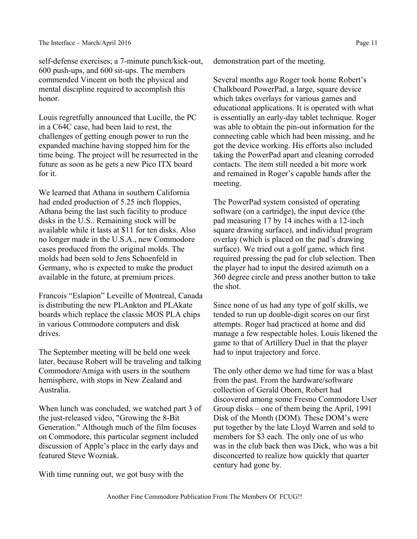self-defense exercises; a 7-minute punch/kick-out, 600 push-ups, and 600 sit-ups. The members commended Vincent on both the physical and mental discipline required to accomplish this honor.

Louis regretfully announced that Lucille, the PC in a C64C case, had been laid to rest, the challenges of getting enough power to run the expanded machine having stopped him for the time being. The project will be resurrected in the future as soon as he gets a new Pico ITX board for it.

We learned that Athana in southern California had ended production of 5.25 inch floppies, Athana being the last such facility to produce disks in the U.S.. Remaining stock will be available while it lasts at \$11 for ten disks. Also no longer made in the U.S.A., new Commodore cases produced from the original molds. The molds had been sold to Jens Schoenfeld in Germany, who is expected to make the product available in the future, at premium prices.

Francois "Eslapion" Leveille of Montreal, Canada is distributing the new PLAnkton and PLAkate boards which replace the classic MOS PLA chips in various Commodore computers and disk drives.

The September meeting will be held one week later, because Robert will be traveling and talking Commodore/Amiga with users in the southern hemisphere, with stops in New Zealand and Australia.

When lunch was concluded, we watched part 3 of the just-released video, "Growing the 8-Bit Generation." Although much of the film focuses on Commodore, this particular segment included discussion of Apple's place in the early days and featured Steve Wozniak.

With time running out, we got busy with the

demonstration part of the meeting.

Several months ago Roger took home Robert's Chalkboard PowerPad, a large, square device which takes overlays for various games and educational applications. It is operated with what is essentially an early-day tablet technique. Roger was able to obtain the pin-out information for the connecting cable which had been missing, and he got the device working. His efforts also included taking the PowerPad apart and cleaning corroded contacts. The item still needed a bit more work and remained in Roger's capable hands after the meeting.

The PowerPad system consisted of operating software (on a cartridge), the input device (the pad measuring 17 by 14 inches with a 12-inch square drawing surface), and individual program overlay (which is placed on the pad's drawing surface). We tried out a golf game, which first required pressing the pad for club selection. Then the player had to input the desired azimuth on a 360 degree circle and press another button to take the shot.

Since none of us had any type of golf skills, we tended to run up double-digit scores on our first attempts. Roger had practiced at home and did manage a few respectable holes. Louis likened the game to that of Artillery Duel in that the player had to input trajectory and force.

The only other demo we had time for was a blast from the past. From the hardware/software collection of Gerald Oborn, Robert had discovered among some Fresno Commodore User Group disks – one of them being the April, 1991 Disk of the Month (DOM). These DOM's were put together by the late Lloyd Warren and sold to members for \$3 each. The only one of us who was in the club back then was Dick, who was a bit disconcerted to realize how quickly that quarter century had gone by.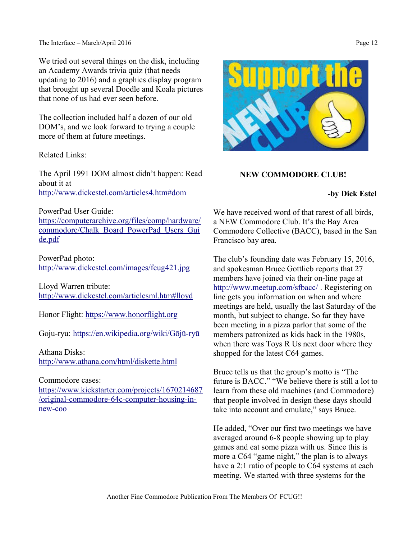We tried out several things on the disk, including an Academy Awards trivia quiz (that needs updating to 2016) and a graphics display program that brought up several Doodle and Koala pictures that none of us had ever seen before.

The collection included half a dozen of our old DOM's, and we look forward to trying a couple more of them at future meetings.

Related Links:

The April 1991 DOM almost didn't happen: Read about it at <http://www.dickestel.com/articles4.htm#dom>

PowerPad User Guide:

[https://computerarchive.org/files/comp/hardware/](https://computerarchive.org/files/comp/hardware/commodore/Chalk_Board_PowerPad_Users_Guide.pdf) [commodore/Chalk\\_Board\\_PowerPad\\_Users\\_Gui](https://computerarchive.org/files/comp/hardware/commodore/Chalk_Board_PowerPad_Users_Guide.pdf) [de.pdf](https://computerarchive.org/files/comp/hardware/commodore/Chalk_Board_PowerPad_Users_Guide.pdf)

PowerPad photo: <http://www.dickestel.com/images/fcug421.jpg>

Lloyd Warren tribute: <http://www.dickestel.com/articlesml.htm#lloyd>

Honor Flight: [https://www.honorflight.org](https://www.honorflight.org/)

Goju-ryu: [https://en.wikipedia.org/wiki/Gōjū-ryū](https://en.wikipedia.org/wiki/G%C5%8Dj%C5%AB-ry%C5%AB)

Athana Disks: <http://www.athana.com/html/diskette.html>

Commodore cases:

[https://www.kickstarter.com/projects/1670214687](https://www.kickstarter.com/projects/1670214687/original-commodore-64c-computer-housing-in-new-coo) [/original-commodore-64c-computer-housing-in](https://www.kickstarter.com/projects/1670214687/original-commodore-64c-computer-housing-in-new-coo)[new-coo](https://www.kickstarter.com/projects/1670214687/original-commodore-64c-computer-housing-in-new-coo)



### **NEW COMMODORE CLUB!**

**-by Dick Estel**

We have received word of that rarest of all birds, a NEW Commodore Club. It's the Bay Area Commodore Collective (BACC), based in the San Francisco bay area.

The club's founding date was February 15, 2016, and spokesman Bruce Gottlieb reports that 27 members have joined via their on-line page at <http://www.meetup.com/sfbacc/>. Registering on line gets you information on when and where meetings are held, usually the last Saturday of the month, but subject to change. So far they have been meeting in a pizza parlor that some of the members patronized as kids back in the 1980s, when there was Toys R Us next door where they shopped for the latest C64 games.

Bruce tells us that the group's motto is "The future is BACC." "We believe there is still a lot to learn from these old machines (and Commodore) that people involved in design these days should take into account and emulate," says Bruce.

He added, "Over our first two meetings we have averaged around 6-8 people showing up to play games and eat some pizza with us. Since this is more a C64 "game night," the plan is to always have a 2:1 ratio of people to C64 systems at each meeting. We started with three systems for the